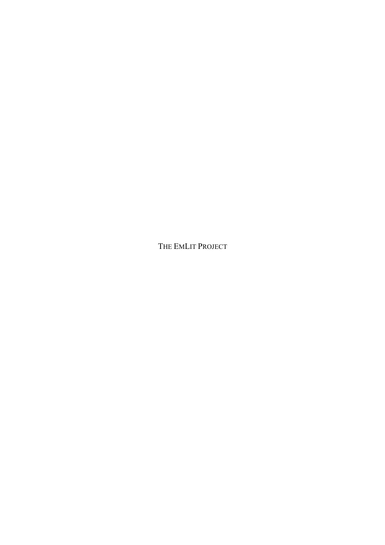THE EMLIT PROJECT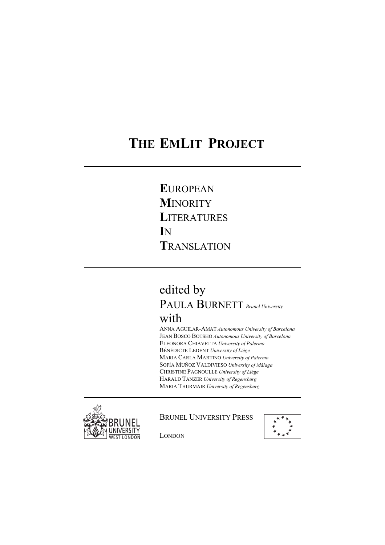# **THE EMLIT PROJECT**

 **E**UROPEAN **M**INORITY **LITERATURES I**N **T**RANSLATION

## edited by PAULA BURNETT *Brunel University*  with

 ANNA AGUILAR-AMAT *Autonomous University of Barcelona*  JEAN BOSCO BOTSHO *Autonomous University of Barcelona* ELEONORA CHIAVETTA *University of Palermo*  BÉNÉDICTE LEDENT *University of Liège*  MARIA CARLA MARTINO *University of Palermo* SOFÍA MUÑOZ VALDIVIESO *University of Málaga*  CHRISTINE PAGNOULLE *University of Liège* HARALD TANZER *University of Regensburg*  MARIA THURMAIR *University of Regensburg*



### BRUNEL UNIVERSITY PRESS



LONDON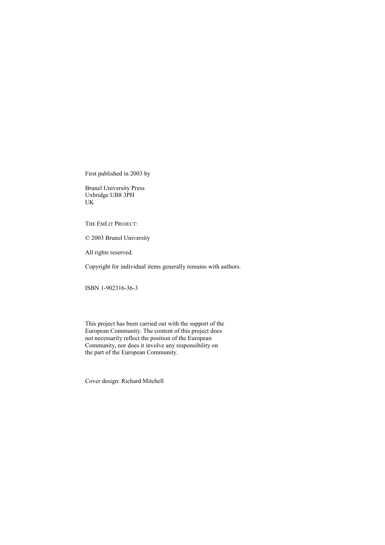First published in 2003 by

Brunel University Press Uxbridge UB8 3PH UK

THE EMLIT PROJECT:

© 2003 Brunel University

All rights reserved.

Copyright for individual items generally remains with authors.

ISBN 1-902316-36-3

This project has been carried out with the support of the European Community. The content of this project does not necessarily reflect the position of the European Community, nor does it involve any responsibility on the part of the European Community.

Cover design: Richard Mitchell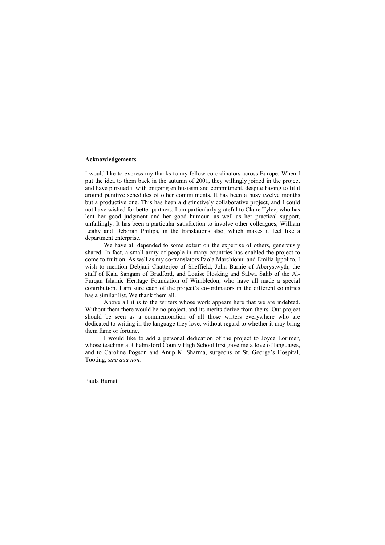#### **Acknowledgements**

I would like to express my thanks to my fellow co-ordinators across Europe. When I put the idea to them back in the autumn of 2001, they willingly joined in the project and have pursued it with ongoing enthusiasm and commitment, despite having to fit it around punitive schedules of other commitments. It has been a busy twelve months but a productive one. This has been a distinctively collaborative project, and I could not have wished for better partners. I am particularly grateful to Claire Tylee, who has lent her good judgment and her good humour, as well as her practical support, unfailingly. It has been a particular satisfaction to involve other colleagues, William Leahy and Deborah Philips, in the translations also, which makes it feel like a department enterprise.

We have all depended to some extent on the expertise of others, generously shared. In fact, a small army of people in many countries has enabled the project to come to fruition. As well as my co-translators Paola Marchionni and Emilia Ippolito, I wish to mention Debjani Chatterjee of Sheffield, John Barnie of Aberystwyth, the staff of Kala Sangam of Bradford, and Louise Hosking and Salwa Salib of the Al-Furqan Islamic Heritage Foundation of Wimbledon, who have all made a special contribution. I am sure each of the project's co-ordinators in the different countries has a similar list. We thank them all.

Above all it is to the writers whose work appears here that we are indebted. Without them there would be no project, and its merits derive from theirs. Our project should be seen as a commemoration of all those writers everywhere who are dedicated to writing in the language they love, without regard to whether it may bring them fame or fortune.

I would like to add a personal dedication of the project to Joyce Lorimer, whose teaching at Chelmsford County High School first gave me a love of languages, and to Caroline Pogson and Anup K. Sharma, surgeons of St. George's Hospital, Tooting, *sine qua non.* 

Paula Burnett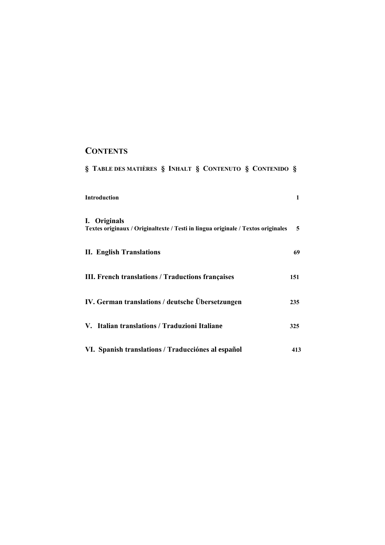## **CONTENTS**

| § TABLE DES MATIÈRES § INHALT § CONTENUTO § CONTENIDO §                                          |              |
|--------------------------------------------------------------------------------------------------|--------------|
| Introduction                                                                                     | $\mathbf{1}$ |
| I. Originals<br>Textes originaux / Originaltexte / Testi in lingua originale / Textos originales | 5            |
| <b>II. English Translations</b>                                                                  | 69           |
| III. French translations / Traductions françaises                                                | 151          |
| IV. German translations / deutsche Übersetzungen                                                 | 235          |
| V. Italian translations / Traduzioni Italiane                                                    | 325          |
| VI. Spanish translations / Traducciónes al español                                               | 413          |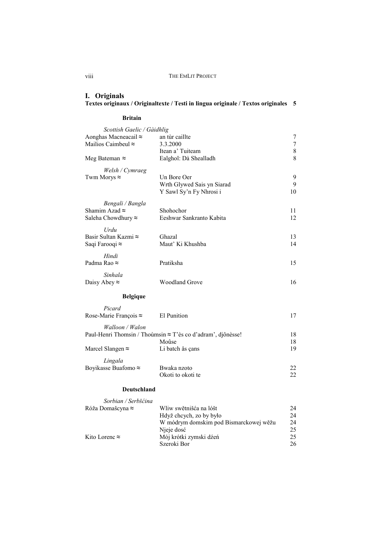#### **I. Originals Textes originaux / Originaltexte / Testi in lingua originale / Textos originales 5**

#### **Britain**

| Scottish Gaelic / Gàidhlig   |                                                             |        |
|------------------------------|-------------------------------------------------------------|--------|
| Aonghas Macneacail $\approx$ | an tùr caillte                                              | 7      |
| Mailios Caimbeul $\approx$   | 3.3.2000                                                    | $\tau$ |
|                              | Itean a' Tuiteam                                            | $8\,$  |
| Meg Bateman $\approx$        | Ealghol: Dà Shealladh                                       | 8      |
| Welsh / Cymraeg              |                                                             |        |
| Twm Morys $\approx$          | Un Bore Oer                                                 | 9      |
|                              | Wrth Glywed Sais yn Siarad                                  | 9      |
|                              | Y Sawl Sy'n Fy Nhrosi i                                     | 10     |
| Bengali / Bangla             |                                                             |        |
| Shamim Azad $\approx$        | Shohochor                                                   | 11     |
| Saleha Chowdhury $\approx$   | Eeshwar Sankranto Kabita                                    | 12     |
| Urdu                         |                                                             |        |
| Basir Sultan Kazmi ≈         | Ghazal                                                      | 13     |
| Saqi Farooqi ≈               | Maut' Ki Khushba                                            | 14     |
| Hindi                        |                                                             |        |
| Padma Rao ≈                  | Pratiksha                                                   | 15     |
|                              |                                                             |        |
| Sinhala                      |                                                             |        |
| Daisy Abey $\approx$         | <b>Woodland Grove</b>                                       | 16     |
| <b>Belgique</b>              |                                                             |        |
| Picard                       |                                                             |        |
| Rose-Marie François ≈        | El Punition                                                 | 17     |
| Walloon / Walon              |                                                             |        |
|                              | Paul-Henri Thomsin / Thoùmsin ≈ T'ès co d'adram', djônèsse! | 18     |
|                              | Moûse                                                       | 18     |
| Marcel Slangen $\approx$     | Li batch ås çans                                            | 19     |
| Lingala                      |                                                             |        |
| Boyikasse Buafomo ≈          | Bwaka nzoto                                                 | 22     |
|                              | Okoti to okoti te                                           | 22     |
|                              |                                                             |        |
| Deutschland                  |                                                             |        |

| Sorbian / Serbšćina   |                                        |    |
|-----------------------|----------------------------------------|----|
| Róža Domašcyna ≈      | Wliw swětnišća na lóšt                 | 24 |
|                       | Hdyž chcych, zo by było                | 24 |
|                       | W módrym domskim pod Bismarckowej wěžu | 24 |
|                       | Nieje dosć                             | 25 |
| Kito Lorenc $\approx$ | Mój krótki zymski dźeń                 | 25 |
|                       | Szeroki Bor                            | 26 |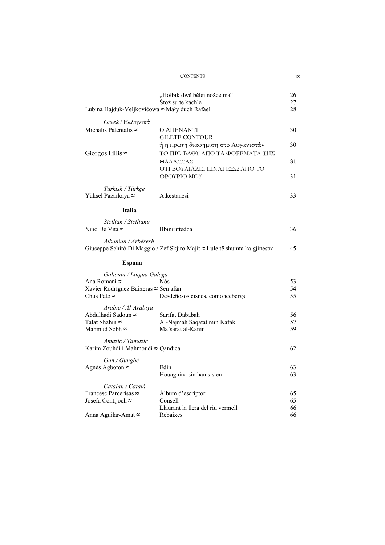|                                                       | "Hołbik dwě běłej nóžce ma"                                                | 26       |
|-------------------------------------------------------|----------------------------------------------------------------------------|----------|
| Lubina Hajduk-Veljkovićowa ≈ Mały duch Rafael         | Štož su te kachle                                                          | 27<br>28 |
|                                                       |                                                                            |          |
| Greek / Ελληνικά                                      |                                                                            |          |
| Michalis Patentalis $\approx$                         | O ΑΠΕΝΑΝΤΙ<br><b>GILETE CONTOUR</b>                                        | 30       |
|                                                       | ή η πρώτη διαφημίση στο Αφγανιστάν                                         | 30       |
| Giorgos Lillis $\approx$                              | ΤΟ ΠΙΟ ΒΑΘΥ ΑΠΟ ΤΑ ΦΟΡΕΜΑΤΑ ΤΗΣ<br>ΘΑΛΑΣΣΑΣ                                | 31       |
|                                                       | ΟΤΊ ΒΟΥΛΙΑΖΕΙ ΕΊΝΑΙ ΕΞΩ ΑΠΌ ΤΟ<br>ΦΡΟΥΡΙΟ ΜΟΥ                              | 31       |
| Turkish / Türkçe                                      |                                                                            |          |
| Yüksel Pazarkaya ≈                                    | Atkestanesi                                                                | 33       |
| <b>Italia</b>                                         |                                                                            |          |
| Sicilian / Sicilianu                                  |                                                                            |          |
| Nino De Vita $\approx$                                | Bbinirittedda                                                              | 36       |
| Albanian / Arbëresh                                   | Giuseppe Schirò Di Maggio / Zef Skjiro Majit ≈ Lule të shumta ka gjinestra | 45       |
| España                                                |                                                                            |          |
| Galician / Lingua Galega                              |                                                                            |          |
| Ana Romaní ≈                                          | <b>Nós</b>                                                                 | 53       |
| Xavier Rodríguez Baixeras ≈ Sen afán                  |                                                                            | 54       |
| Chus Pato $\approx$                                   | Desdeñosos cisnes, como icebergs                                           | 55       |
| Arabic / Al-Arabiya                                   |                                                                            |          |
| Abdulhadi Sadoun ≈                                    | Sarifat Dababah                                                            | 56       |
| Talat Shahin $\approx$                                | Al-Najmah Saqatat min Kafak                                                | 57       |
| Mahmud Sobh $\approx$                                 | Ma'sarat al-Kanin                                                          | 59       |
| Amazic / Tamazic<br>Karim Zouhdi i Mahmoudi ≈ Qandica |                                                                            | 62       |
|                                                       |                                                                            |          |
| Gun / Gungbé                                          |                                                                            |          |
| Agnès Agboton ≈                                       | Edin<br>Houagnina sin han sisien                                           | 63<br>63 |
| Catalan / Català                                      |                                                                            |          |
| Francesc Parcerisas ≈                                 | Album d'escriptor                                                          | 65       |
| Josefa Contijoch $\approx$                            | Consell                                                                    | 65       |
|                                                       | Llaurant la llera del riu vermell                                          | 66       |
| Anna Aguilar-Amat ≈                                   | Rebaixes                                                                   | 66       |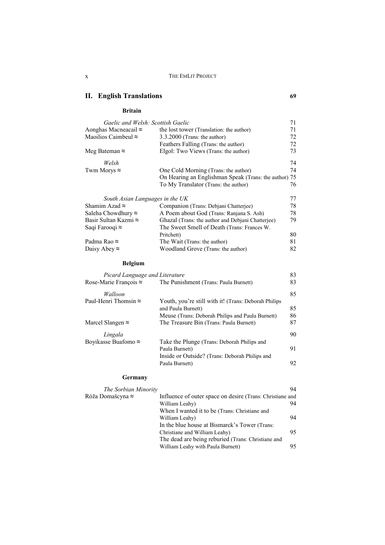## **II.** English Translations 69

#### **Britain**

| Gaelic and Welsh: Scottish Gaelic |                                                       | 71  |
|-----------------------------------|-------------------------------------------------------|-----|
| Aonghas Macneacail ≈              | the lost tower (Translation: the author)              | 71  |
| Maoilios Caimbeul $\approx$       | $3.3.2000$ (Trans: the author)                        | 72  |
|                                   | Feathers Falling (Trans: the author)                  | 72  |
| Meg Bateman ≈                     | Elgol: Two Views (Trans: the author)                  | 73  |
| Welsh                             |                                                       | 74  |
| Twm Morys $\approx$               | One Cold Morning (Trans: the author)                  | 74  |
|                                   | On Hearing an Englishman Speak (Trans: the author) 75 |     |
|                                   | To My Translator (Trans: the author)                  | 76  |
| South Asian Languages in the UK   |                                                       | 77  |
| Shamim Azad $\approx$             | Companion (Trans: Debiani Chatterjee)                 | 78  |
| Saleha Chowdhury ≈                | A Poem about God (Trans: Ranjana S. Ash)              | 78  |
| Basir Sultan Kazmi ≈              | Ghazal (Trans: the author and Debiani Chatterjee)     | 79. |
| Saqi Farooqi ≈                    | The Sweet Smell of Death (Trans: Frances W.           |     |
|                                   | Pritchett)                                            | 80  |
| Padma Rao ≈                       | The Wait (Trans: the author)                          | 81  |
| Daisy Abey $\approx$              | Woodland Grove (Trans: the author)                    | 82  |
|                                   |                                                       |     |

## **Belgium**

| Picard Language and Literature |                                                      | 83 |
|--------------------------------|------------------------------------------------------|----|
| Rose-Marie François $\approx$  | The Punishment (Trans: Paula Burnett)                | 83 |
| Walloon                        |                                                      | 85 |
| Paul-Henri Thomsin $\approx$   | Youth, you're still with it! (Trans: Deborah Philips |    |
|                                | and Paula Burnett)                                   | 85 |
|                                | Meuse (Trans: Deborah Philips and Paula Burnett)     | 86 |
| Marcel Slangen $\approx$       | The Treasure Bin (Trans: Paula Burnett)              | 87 |
| Lingala                        |                                                      | 90 |
| Boyikasse Buafomo $\approx$    | Take the Plunge (Trans: Deborah Philips and          |    |
|                                | Paula Burnett)                                       | 91 |
|                                | Inside or Outside? (Trans: Deborah Philips and       |    |
|                                | Paula Burnett)                                       | 92 |
|                                |                                                      |    |

#### **Germany**

| The Sorbian Minority     |                                                           | 94 |
|--------------------------|-----------------------------------------------------------|----|
| Róža Domašcyna $\approx$ | Influence of outer space on desire (Trans: Christiane and |    |
|                          | William Leahy)                                            | 94 |
|                          | When I wanted it to be (Trans: Christiane and             |    |
|                          | William Leahy)                                            | 94 |
|                          | In the blue house at Bismarck's Tower (Trans:             |    |
|                          | Christiane and William Leahy)                             | 95 |
|                          | The dead are being reburied (Trans: Christiane and        |    |
|                          | William Leahy with Paula Burnett)                         | 95 |
|                          |                                                           |    |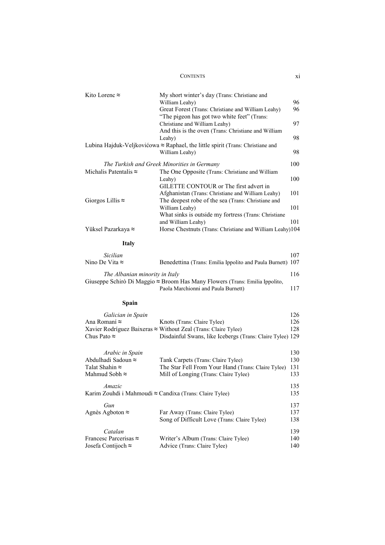| 98<br>Leahy)<br>Lubina Hajduk-Veljkovićowa ≈ Raphael, the little spirit (Trans: Christiane and<br>98<br>William Leahy)<br>The Turkish and Greek Minorities in Germany<br>100<br>Michalis Patentalis $\approx$<br>The One Opposite (Trans: Christiane and William<br>100<br>Leahy)<br>GILETTE CONTOUR or The first advert in<br>101<br>Afghanistan (Trans: Christiane and William Leahy)<br>Giorgos Lillis $\approx$<br>The deepest robe of the sea (Trans: Christiane and<br>101<br>William Leahy)<br>What sinks is outside my fortress (Trans: Christiane<br>101<br>and William Leahy)<br>Horse Chestnuts (Trans: Christiane and William Leahy)104<br><b>Italy</b><br>107<br>Sicilian<br>Benedettina (Trans: Emilia Ippolito and Paula Burnett) 107<br>116<br>The Albanian minority in Italy<br>Giuseppe Schirò Di Maggio ≈ Broom Has Many Flowers (Trans: Emilia Ippolito,<br>Paola Marchionni and Paula Burnett)<br>117<br>Spain<br>126<br>Galician in Spain<br>126<br>Knots (Trans: Claire Tylee)<br>128<br>Xavier Rodríguez Baixeras $\approx$ Without Zeal (Trans: Claire Tylee)<br>Disdainful Swans, like Icebergs (Trans: Claire Tylee) 129<br>Arabic in Spain<br>130<br>Tank Carpets (Trans: Claire Tylee)<br>130<br>The Star Fell From Your Hand (Trans: Claire Tylee)<br>131<br>133<br>Mill of Longing (Trans: Claire Tylee)<br>Amazic<br>135<br>135<br>Karim Zouhdi i Mahmoudi ≈ Candixa (Trans: Claire Tylee)<br>Gun<br>137<br>137<br>Far Away (Trans: Claire Tylee)<br>Song of Difficult Love (Trans: Claire Tylee)<br>138<br>Catalan<br>139<br>Writer's Album (Trans: Claire Tylee)<br>140<br>Advice (Trans: Claire Tylee)<br>140 | Kito Lorenc $\approx$                                         | My short winter's day (Trans: Christiane and<br>William Leahy)<br>Great Forest (Trans: Christiane and William Leahy)<br>"The pigeon has got two white feet" (Trans:<br>Christiane and William Leahy) | 96<br>96<br>97 |
|--------------------------------------------------------------------------------------------------------------------------------------------------------------------------------------------------------------------------------------------------------------------------------------------------------------------------------------------------------------------------------------------------------------------------------------------------------------------------------------------------------------------------------------------------------------------------------------------------------------------------------------------------------------------------------------------------------------------------------------------------------------------------------------------------------------------------------------------------------------------------------------------------------------------------------------------------------------------------------------------------------------------------------------------------------------------------------------------------------------------------------------------------------------------------------------------------------------------------------------------------------------------------------------------------------------------------------------------------------------------------------------------------------------------------------------------------------------------------------------------------------------------------------------------------------------------------------------------------------------------------------------------------|---------------------------------------------------------------|------------------------------------------------------------------------------------------------------------------------------------------------------------------------------------------------------|----------------|
|                                                                                                                                                                                                                                                                                                                                                                                                                                                                                                                                                                                                                                                                                                                                                                                                                                                                                                                                                                                                                                                                                                                                                                                                                                                                                                                                                                                                                                                                                                                                                                                                                                                  |                                                               | And this is the oven (Trans: Christiane and William                                                                                                                                                  |                |
|                                                                                                                                                                                                                                                                                                                                                                                                                                                                                                                                                                                                                                                                                                                                                                                                                                                                                                                                                                                                                                                                                                                                                                                                                                                                                                                                                                                                                                                                                                                                                                                                                                                  |                                                               |                                                                                                                                                                                                      |                |
|                                                                                                                                                                                                                                                                                                                                                                                                                                                                                                                                                                                                                                                                                                                                                                                                                                                                                                                                                                                                                                                                                                                                                                                                                                                                                                                                                                                                                                                                                                                                                                                                                                                  |                                                               |                                                                                                                                                                                                      |                |
|                                                                                                                                                                                                                                                                                                                                                                                                                                                                                                                                                                                                                                                                                                                                                                                                                                                                                                                                                                                                                                                                                                                                                                                                                                                                                                                                                                                                                                                                                                                                                                                                                                                  |                                                               |                                                                                                                                                                                                      |                |
|                                                                                                                                                                                                                                                                                                                                                                                                                                                                                                                                                                                                                                                                                                                                                                                                                                                                                                                                                                                                                                                                                                                                                                                                                                                                                                                                                                                                                                                                                                                                                                                                                                                  |                                                               |                                                                                                                                                                                                      |                |
|                                                                                                                                                                                                                                                                                                                                                                                                                                                                                                                                                                                                                                                                                                                                                                                                                                                                                                                                                                                                                                                                                                                                                                                                                                                                                                                                                                                                                                                                                                                                                                                                                                                  | Yüksel Pazarkaya ≈                                            |                                                                                                                                                                                                      |                |
|                                                                                                                                                                                                                                                                                                                                                                                                                                                                                                                                                                                                                                                                                                                                                                                                                                                                                                                                                                                                                                                                                                                                                                                                                                                                                                                                                                                                                                                                                                                                                                                                                                                  |                                                               |                                                                                                                                                                                                      |                |
|                                                                                                                                                                                                                                                                                                                                                                                                                                                                                                                                                                                                                                                                                                                                                                                                                                                                                                                                                                                                                                                                                                                                                                                                                                                                                                                                                                                                                                                                                                                                                                                                                                                  |                                                               |                                                                                                                                                                                                      |                |
|                                                                                                                                                                                                                                                                                                                                                                                                                                                                                                                                                                                                                                                                                                                                                                                                                                                                                                                                                                                                                                                                                                                                                                                                                                                                                                                                                                                                                                                                                                                                                                                                                                                  | Nino De Vita $\approx$                                        |                                                                                                                                                                                                      |                |
|                                                                                                                                                                                                                                                                                                                                                                                                                                                                                                                                                                                                                                                                                                                                                                                                                                                                                                                                                                                                                                                                                                                                                                                                                                                                                                                                                                                                                                                                                                                                                                                                                                                  |                                                               |                                                                                                                                                                                                      |                |
|                                                                                                                                                                                                                                                                                                                                                                                                                                                                                                                                                                                                                                                                                                                                                                                                                                                                                                                                                                                                                                                                                                                                                                                                                                                                                                                                                                                                                                                                                                                                                                                                                                                  |                                                               |                                                                                                                                                                                                      |                |
|                                                                                                                                                                                                                                                                                                                                                                                                                                                                                                                                                                                                                                                                                                                                                                                                                                                                                                                                                                                                                                                                                                                                                                                                                                                                                                                                                                                                                                                                                                                                                                                                                                                  | Ana Romaní ≈<br>Chus Pato $\approx$                           |                                                                                                                                                                                                      |                |
|                                                                                                                                                                                                                                                                                                                                                                                                                                                                                                                                                                                                                                                                                                                                                                                                                                                                                                                                                                                                                                                                                                                                                                                                                                                                                                                                                                                                                                                                                                                                                                                                                                                  | Abdulhadi Sadoun ≈<br>Talat Shahin ≈<br>Mahmud Sobh $\approx$ |                                                                                                                                                                                                      |                |
|                                                                                                                                                                                                                                                                                                                                                                                                                                                                                                                                                                                                                                                                                                                                                                                                                                                                                                                                                                                                                                                                                                                                                                                                                                                                                                                                                                                                                                                                                                                                                                                                                                                  |                                                               |                                                                                                                                                                                                      |                |
|                                                                                                                                                                                                                                                                                                                                                                                                                                                                                                                                                                                                                                                                                                                                                                                                                                                                                                                                                                                                                                                                                                                                                                                                                                                                                                                                                                                                                                                                                                                                                                                                                                                  | Agnès Agboton $\approx$                                       |                                                                                                                                                                                                      |                |
|                                                                                                                                                                                                                                                                                                                                                                                                                                                                                                                                                                                                                                                                                                                                                                                                                                                                                                                                                                                                                                                                                                                                                                                                                                                                                                                                                                                                                                                                                                                                                                                                                                                  | Francesc Parcerisas $\approx$<br>Josefa Contijoch ≈           |                                                                                                                                                                                                      |                |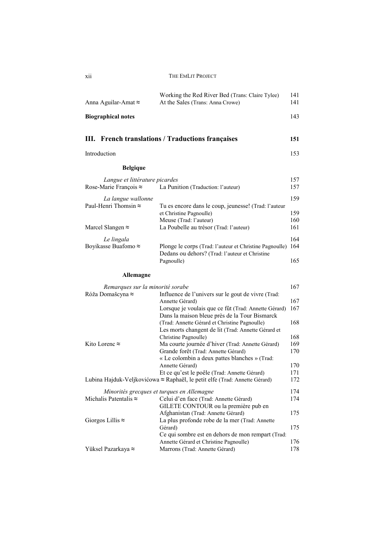| <b>French translations / Traductions françaises</b><br>Ш. |                                                                                     | 151        |
|-----------------------------------------------------------|-------------------------------------------------------------------------------------|------------|
| <b>Biographical notes</b>                                 |                                                                                     | 143        |
| Anna Aguilar-Amat $\approx$                               | Working the Red River Bed (Trans: Claire Tylee)<br>At the Sales (Trans: Anna Crowe) | 141<br>141 |

Introduction 153

| <b>Belgique</b> |
|-----------------|
|-----------------|

| Langue et littérature picardes |                                                                                                           | 157 |
|--------------------------------|-----------------------------------------------------------------------------------------------------------|-----|
| Rose-Marie Francois $\approx$  | La Punition (Traduction: l'auteur)                                                                        | 157 |
| La langue wallonne             |                                                                                                           | 159 |
| Paul-Henri Thomsin $\approx$   | Tu es encore dans le coup, jeunesse! (Trad: l'auteur                                                      |     |
|                                | et Christine Pagnoulle)                                                                                   | 159 |
|                                | Meuse (Trad: l'auteur)                                                                                    | 160 |
| Marcel Slangen $\approx$       | La Poubelle au trésor (Trad: l'auteur)                                                                    | 161 |
| Le lingala                     |                                                                                                           | 164 |
| Boyikasse Buafomo $\approx$    | Plonge le corps (Trad: l'auteur et Christine Pagnoulle)<br>Dedans ou dehors? (Trad: l'auteur et Christine | 164 |
|                                | Pagnoulle)                                                                                                | 165 |

## **Allemagne**

| Remarques sur la minorité sorabe |                                                                                    | 167 |
|----------------------------------|------------------------------------------------------------------------------------|-----|
| Róža Domašcyna ≈                 | Influence de l'univers sur le gout de vivre (Trad:                                 |     |
|                                  | Annette Gérard)                                                                    | 167 |
|                                  | Lorsque je voulais que ce fût (Trad: Annette Gérard)                               | 167 |
|                                  | Dans la maison bleue près de la Tour Bismarck                                      |     |
|                                  | (Trad: Annette Gérard et Christine Pagnoulle)                                      | 168 |
|                                  | Les morts changent de lit (Trad: Annette Gérard et                                 |     |
|                                  | Christine Pagnoulle)                                                               | 168 |
| Kito Lorenc $\approx$            | Ma courte journée d'hiver (Trad: Annette Gérard)                                   | 169 |
|                                  | Grande forêt (Trad: Annette Gérard)                                                | 170 |
|                                  | « Le colombin a deux pattes blanches » (Trad:                                      |     |
|                                  | Annette Gérard)                                                                    | 170 |
|                                  | Et ce qu'est le poêle (Trad: Annette Gérard)                                       | 171 |
|                                  | Lubina Hajduk-Veljkovićowa $\approx$ Raphaël, le petit elfe (Trad: Annette Gérard) | 172 |
|                                  | Minorités grecques et turques en Allemagne                                         | 174 |
| Michalis Patentalis $\approx$    | Celui d'en face (Trad: Annette Gérard)                                             | 174 |
|                                  | GILETE CONTOUR ou la première pub en                                               |     |
|                                  | Afghanistan (Trad: Annette Gérard)                                                 | 175 |
| Giorgos Lillis $\approx$         | La plus profonde robe de la mer (Trad: Annette                                     |     |
|                                  | Gérard)                                                                            | 175 |
|                                  | Ce qui sombre est en dehors de mon rempart (Trad:                                  |     |
|                                  | Annette Gérard et Christine Pagnoulle)                                             | 176 |
| Yüksel Pazarkaya ≈               | Marrons (Trad: Annette Gérard)                                                     | 178 |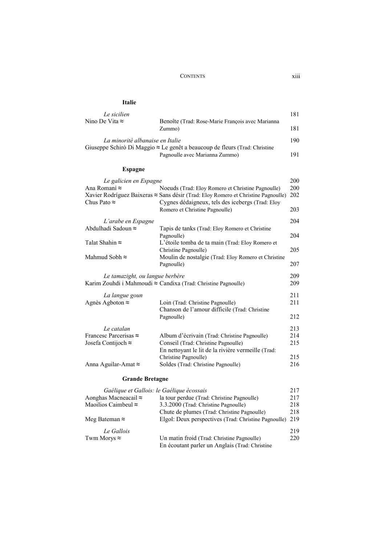| <b>Italie</b> |
|---------------|
|---------------|

| Le sicilien                     |                                                                                    | 181 |
|---------------------------------|------------------------------------------------------------------------------------|-----|
| Nino De Vita $\approx$          | Benoîte (Trad: Rose-Marie François avec Marianna                                   |     |
|                                 | Zummo)                                                                             | 181 |
| La minorité albanaise en Italie |                                                                                    | 190 |
|                                 | Giuseppe Schirò Di Maggio $\approx$ Le genêt a beaucoup de fleurs (Trad: Christine |     |
|                                 | Pagnoulle avec Marianna Zummo)                                                     | 191 |

#### **Espagne**

| Le galicien en Espagne                    |                                                                                           | 200 |
|-------------------------------------------|-------------------------------------------------------------------------------------------|-----|
| Ana Romaní ≈                              | Noeuds (Trad: Eloy Romero et Christine Pagnoulle)                                         | 200 |
|                                           | Xavier Rodríguez Baixeras $\approx$ Sans désir (Trad: Eloy Romero et Christine Pagnoulle) | 202 |
| Chus Pato $\approx$                       | Cygnes dédaigneux, tels des icebergs (Trad: Eloy<br>Romero et Christine Pagnoulle)        | 203 |
| L'arabe en Espagne                        |                                                                                           | 204 |
| Abdulhadi Sadoun ≈                        | Tapis de tanks (Trad: Eloy Romero et Christine<br>Pagnoulle)                              | 204 |
| Talat Shahin $\approx$                    | L'étoile tomba de ta main (Trad: Eloy Romero et<br>Christine Pagnoulle)                   | 205 |
| Mahmud Sobh $\approx$                     | Moulin de nostalgie (Trad: Eloy Romero et Christine<br>Pagnoulle)                         | 207 |
| Le tamazight, ou langue berbère           |                                                                                           | 209 |
|                                           | Karim Zouhdi i Mahmoudi $\approx$ Candixa (Trad: Christine Pagnoulle)                     | 209 |
| La langue goun                            |                                                                                           | 211 |
| Agnès Agboton $\approx$                   | Loin (Trad: Christine Pagnoulle)                                                          | 211 |
|                                           | Chanson de l'amour difficile (Trad: Christine<br>Pagnoulle)                               | 212 |
| Le catalan                                |                                                                                           | 213 |
| Francesc Parcerisas $\approx$             | Album d'écrivain (Trad: Christine Pagnoulle)                                              | 214 |
| Josefa Contijoch $\approx$                | Conseil (Trad: Christine Pagnoulle)                                                       | 215 |
|                                           | En nettoyant le lit de la rivière vermeille (Trad.                                        |     |
|                                           | Christine Pagnoulle)                                                                      | 215 |
| Anna Aguilar-Amat $\approx$               | Soldes (Trad: Christine Pagnoulle)                                                        | 216 |
| <b>Grande Bretagne</b>                    |                                                                                           |     |
| Gaélique et Gallois: le Gaélique écossais |                                                                                           | 217 |
| Aonghas Macneacail $\approx$              | la tour perdue (Trad: Christine Pagnoulle)                                                | 217 |

| Guellque et Gallois, le Guellque écossais |                                                      | 211 |
|-------------------------------------------|------------------------------------------------------|-----|
| Aonghas Macneacail $\approx$              | la tour perdue (Trad: Christine Pagnoulle)           | 217 |
| Maoilios Caimbeul $\approx$               | 3.3.2000 (Trad: Christine Pagnoulle)                 | 218 |
|                                           | Chute de plumes (Trad: Christine Pagnoulle)          | 218 |
| Meg Bateman $\approx$                     | Elgol: Deux perspectives (Trad: Christine Pagnoulle) | 219 |
| Le Gallois                                |                                                      | 219 |
| Twm Morys $\approx$                       | Un matin froid (Trad: Christine Pagnoulle)           | 220 |
|                                           | En écoutant parler un Anglais (Trad: Christine       |     |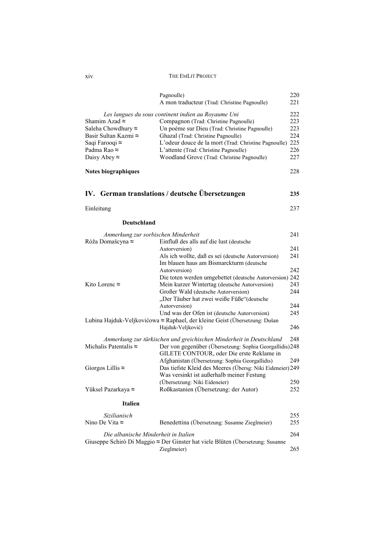| X1V | THE EMLIT PROJECT |
|-----|-------------------|
|     |                   |

|                                                                                                                                      | Pagnoulle)<br>A mon traducteur (Trad: Christine Pagnoulle)                                                                                                                                                                                                                                                                             | 220<br>221                             |
|--------------------------------------------------------------------------------------------------------------------------------------|----------------------------------------------------------------------------------------------------------------------------------------------------------------------------------------------------------------------------------------------------------------------------------------------------------------------------------------|----------------------------------------|
| Shamim Azad $\approx$<br>Saleha Chowdhury $\approx$<br>Basir Sultan Kazmi ≈<br>Saqi Farooqi ≈<br>Padma Rao ≈<br>Daisy Abey $\approx$ | Les langues du sous continent indien au Royaume Uni<br>Compagnon (Trad: Christine Pagnoulle)<br>Un poème sur Dieu (Trad: Christine Pagnoulle)<br>Ghazal (Trad: Christine Pagnoulle)<br>L'odeur douce de la mort (Trad: Christine Pagnoulle) 225<br>L'attente (Trad: Christine Pagnoulle)<br>Woodland Grove (Trad: Christine Pagnoulle) | 222<br>223<br>223<br>224<br>226<br>227 |
| Notes biographiques                                                                                                                  |                                                                                                                                                                                                                                                                                                                                        | 228                                    |
|                                                                                                                                      | IV. German translations / deutsche Übersetzungen                                                                                                                                                                                                                                                                                       | 235                                    |
| Einleitung                                                                                                                           |                                                                                                                                                                                                                                                                                                                                        | 237                                    |
| <b>Deutschland</b>                                                                                                                   |                                                                                                                                                                                                                                                                                                                                        |                                        |
| Anmerkung zur sorbischen Minderheit<br>Róža Domašcyna ≈                                                                              | Einfluß des alls auf die lust (deutsche                                                                                                                                                                                                                                                                                                | 241                                    |
|                                                                                                                                      | Autorversion)                                                                                                                                                                                                                                                                                                                          | 241                                    |
|                                                                                                                                      | Als ich wollte, daß es sei (deutsche Autorversion)<br>Im blauen haus am Bismarckturm (deutsche                                                                                                                                                                                                                                         | 241                                    |
|                                                                                                                                      | Autorversion)                                                                                                                                                                                                                                                                                                                          | 242                                    |
|                                                                                                                                      | Die toten werden umgebettet (deutsche Autorversion) 242                                                                                                                                                                                                                                                                                |                                        |
| Kito Lorenc $\approx$                                                                                                                | Mein kurzer Wintertag (deutsche Autorversion)                                                                                                                                                                                                                                                                                          | 243                                    |
|                                                                                                                                      | Großer Wald (deutsche Autorversion)<br>"Der Täuber hat zwei weiße Füße"(deutsche                                                                                                                                                                                                                                                       | 244                                    |
|                                                                                                                                      | Autorversion)                                                                                                                                                                                                                                                                                                                          | 244                                    |
|                                                                                                                                      | Und was der Ofen ist (deutsche Autorversion)<br>Lubina Hajduk-Veljkovićowa ≈ Raphael, der kleine Geist (Übersetzung: Dušan                                                                                                                                                                                                             | 245                                    |
|                                                                                                                                      | Hajduk-Veljković)                                                                                                                                                                                                                                                                                                                      | 246                                    |
| Michalis Patentalis $\approx$                                                                                                        | Anmerkung zur türkischen und greichischen Minderheit in Deutschland<br>Der von gegenüber (Übersetzung: Sophia Georgallidis)248                                                                                                                                                                                                         | 248                                    |
| Giorgos Lillis $\approx$                                                                                                             | GILETE CONTOUR, oder Die erste Reklame in<br>Afghanistan (Übersetzung: Sophia Georgallidis)<br>Das tiefste Kleid des Meeres (Übersg: Niki Eideneier) 249<br>Was versinkt ist außerhalb meiner Festung                                                                                                                                  | 249                                    |
|                                                                                                                                      | (Übersetzung: Niki Eideneier)                                                                                                                                                                                                                                                                                                          | 250                                    |
| Yüksel Pazarkaya ≈                                                                                                                   | Roßkastanien (Übersetzung: der Autor)                                                                                                                                                                                                                                                                                                  | 252                                    |
| <b>Italien</b>                                                                                                                       |                                                                                                                                                                                                                                                                                                                                        |                                        |
| Sizilianisch                                                                                                                         |                                                                                                                                                                                                                                                                                                                                        | 255                                    |
| Nino De Vita $\approx$                                                                                                               | Benedettina (Übersetzung: Susanne Zieglmeier)                                                                                                                                                                                                                                                                                          | 255                                    |
| Die albanische Minderheit in Italien                                                                                                 | Giuseppe Schirò Di Maggio ≈ Der Ginster hat viele Blüten (Übersetzung: Susanne                                                                                                                                                                                                                                                         | 264                                    |
|                                                                                                                                      | Zieglmeier)                                                                                                                                                                                                                                                                                                                            | 265                                    |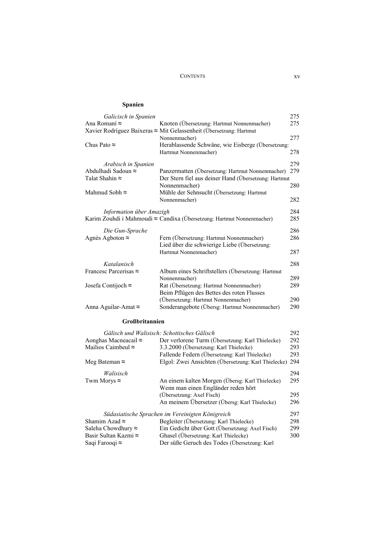#### **Spanien**

| Galicisch in Spanien          |                                                                       | 275 |
|-------------------------------|-----------------------------------------------------------------------|-----|
| Ana Romaní ≈                  | Knoten (Übersetzung: Hartmut Nonnenmacher)                            | 275 |
|                               | Xavier Rodríguez Baixeras ≈ Mit Gelassenheit (Übersetzung: Hartmut    |     |
|                               | Nonnenmacher)                                                         | 277 |
| Chus Pato $\approx$           | Herablassende Schwäne, wie Eisberge (Übersetzung:                     |     |
|                               | Hartmut Nonnenmacher)                                                 | 278 |
| Arabisch in Spanien           |                                                                       | 279 |
| Abdulhadi Sadoun ≈            | Panzermatten (Übersetzung: Hartmut Nonnenmacher) 279                  |     |
| Talat Shahin ≈                | Der Stern fiel aus deiner Hand (Übersetzung: Hartmut                  |     |
|                               | Nonnenmacher)                                                         | 280 |
| Mahmud Sobh ≈                 | Mühle der Sehnsucht (Übersetzung: Hartmut                             |     |
|                               | Nonnenmacher)                                                         | 282 |
| Information über Amazigh      |                                                                       | 284 |
|                               | Karim Zouhdi i Mahmoudi ≈ Candixa (Übersetzung: Hartmut Nonnenmacher) | 285 |
|                               |                                                                       |     |
| Die Gun-Sprache               |                                                                       | 286 |
| Agnès Agboton $\approx$       | Fern (Übersetzung: Hartmut Nonnenmacher)                              | 286 |
|                               | Lied über die schwierige Liebe (Übersetzung:                          |     |
|                               | Hartmut Nonnenmacher)                                                 | 287 |
| Katalanisch                   |                                                                       | 288 |
| Francesc Parcerisas $\approx$ | Album eines Schriftstellers (Übersetzung: Hartmut                     |     |
|                               | Nonnenmacher)                                                         | 289 |
| Josefa Contijoch $\approx$    | Rat (Übersetzung: Hartmut Nonnenmacher)                               | 289 |
|                               | Beim Pflügen des Bettes des roten Flusses                             |     |
|                               | (Übersetzung: Hartmut Nonnenmacher)                                   | 290 |
| Anna Aguilar-Amat ≈           | Sonderangebote (Übersg: Hartmut Nonnenmacher)                         | 290 |
| <b>Großbritannien</b>         |                                                                       |     |
|                               |                                                                       |     |
|                               | Gälisch und Walisisch: Schottisches Gälisch                           | 292 |
| Aonghas Macneacail ≈          | Der verlorene Turm (Übersetzung: Karl Thielecke)                      | 292 |
| Mailios Caimbeul ≈            | 3.3.2000 (Übersetzung: Karl Thielecke)                                | 293 |
|                               | Fallende Federn (Übersetzung: Karl Thielecke)                         | 293 |
| Meg Bateman $\approx$         | Elgol: Zwei Ansichten (Übersetzung: Karl Thielecke) 294               |     |
| Walisisch                     |                                                                       | 294 |
| Twm Morys $\approx$           | An einem kalten Morgen (Übersg: Karl Thielecke)                       | 295 |
|                               | Wenn man einen Engländer reden hört                                   |     |
|                               | (Übersetzung: Axel Fisch)                                             | 295 |
|                               | An meinem Übersetzer (Übersg: Karl Thielecke)                         | 296 |
|                               | Südasiatische Sprachen im Vereinigten Königreich                      | 297 |
| Shamim Azad $\approx$         | Begleiter (Übersetzung: Karl Thielecke)                               | 298 |
| Saleha Chowdhury ≈            | Ein Gedicht über Gott (Übersetzung: Axel Fisch)                       | 299 |
| Basir Sultan Kazmi ≈          | Ghasel (Übersetzung: Karl Thielecke)                                  | 300 |
| Saqi Farooqi ≈                | Der süße Geruch des Todes (Übersetzung: Karl                          |     |
|                               |                                                                       |     |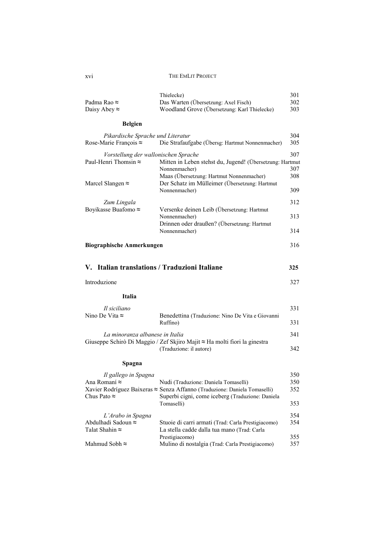| Padma Rao ≈<br>Daisy Abey $\approx$                                                      | Thielecke)<br>Das Warten (Übersetzung: Axel Fisch)<br>Woodland Grove (Übersetzung: Karl Thielecke)                                                                                  | 301<br>302<br>303        |
|------------------------------------------------------------------------------------------|-------------------------------------------------------------------------------------------------------------------------------------------------------------------------------------|--------------------------|
| <b>Belgien</b>                                                                           |                                                                                                                                                                                     |                          |
| Pikardische Sprache und Literatur<br>Rose-Marie François ≈                               | Die Strafaufgabe (Übersg: Hartmut Nonnenmacher)                                                                                                                                     | 304<br>305               |
| Vorstellung der wallonischen Sprache<br>Paul-Henri Thomsin ≈<br>Marcel Slangen $\approx$ | Mitten in Leben stehst du, Jugend! (Übersetzung: Hartmut<br>Nonnenmacher)<br>Maas (Übersetzung: Hartmut Nonnenmacher)<br>Der Schatz im Mülleimer (Übersetzung: Hartmut              | 307<br>307<br>308        |
|                                                                                          | Nonnenmacher)                                                                                                                                                                       | 309                      |
| Zum Lingala<br>Boyikasse Buafomo ≈                                                       | Versenke deinen Leib (Übersetzung: Hartmut                                                                                                                                          | 312                      |
|                                                                                          | Nonnenmacher)                                                                                                                                                                       | 313                      |
|                                                                                          | Drinnen oder draußen? (Übersetzung: Hartmut<br>Nonnenmacher)                                                                                                                        | 314                      |
| <b>Biographische Anmerkungen</b>                                                         |                                                                                                                                                                                     |                          |
| V. Italian translations / Traduzioni Italiane                                            |                                                                                                                                                                                     | 325                      |
| Introduzione                                                                             |                                                                                                                                                                                     | 327                      |
| Italia                                                                                   |                                                                                                                                                                                     |                          |
| Il siciliano                                                                             |                                                                                                                                                                                     | 331                      |
| Nino De Vita ≈                                                                           | Benedettina (Traduzione: Nino De Vita e Giovanni<br>Ruffino)                                                                                                                        | 331                      |
| La minoranza albanese in Italia                                                          | Giuseppe Schirò Di Maggio / Zef Skjiro Majit ≈ Ha molti fiori la ginestra                                                                                                           | 341                      |
|                                                                                          | (Traduzione: il autore)                                                                                                                                                             | 342                      |
| Spagna                                                                                   |                                                                                                                                                                                     |                          |
|                                                                                          |                                                                                                                                                                                     |                          |
| Il gallego in Spagna<br>Ana Romaní ≈<br>Chus Pato $\approx$                              | Nudi (Traduzione: Daniela Tomaselli)<br>Xavier Rodríguez Baixeras ≈ Senza Affanno (Traduzione: Daniela Tomaselli)<br>Superbi cigni, come iceberg (Traduzione: Daniela<br>Tomaselli) | 350<br>350<br>352<br>353 |
| L'Arabo in Spagna<br>Abdulhadi Sadoun ≈<br>Talat Shahin $\approx$                        | Stuoie di carri armati (Trad: Carla Prestigiacomo)                                                                                                                                  | 354<br>354               |
| Mahmud Sobh ≈                                                                            | La stella cadde dalla tua mano (Trad: Carla<br>Prestigiacomo)<br>Mulino di nostalgia (Trad: Carla Prestigiacomo)                                                                    | 355<br>357               |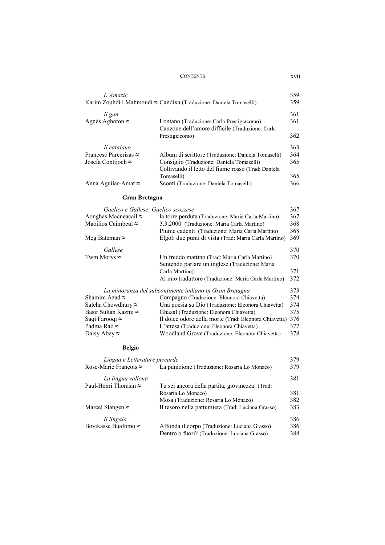| L'Amazic                      | Karim Zouhdi i Mahmoudi ≈ Candixa (Traduzione: Daniela Tomaselli) | 359<br>359 |
|-------------------------------|-------------------------------------------------------------------|------------|
| Il gun                        |                                                                   | 361        |
| Agnès Agboton $\approx$       | Lontano (Traduzione: Carla Prestigiacomo)                         | 361        |
|                               | Canzone dell'amore difficile (Traduzione: Carla                   |            |
|                               | Prestigiacomo)                                                    | 362        |
| Il catalano                   |                                                                   | 363        |
| Francesc Parcerisas $\approx$ | Album di scrittore (Traduzione: Daniela Tomaselli)                | 364        |
| Josefa Contijoch $\approx$    | Consiglio (Traduzione: Daniela Tomaselli)                         | 365        |
|                               | Coltivando il letto del fiume rosso (Trad: Daniela                |            |
|                               | Tomaselli)                                                        | 365        |
| Anna Aguilar-Amat $\approx$   | Sconti (Traduzione: Daniela Tomaselli)                            | 366        |

#### **Gran Bretagna**

| Gaelico e Gallese: Gaelico scozzese |                                                         | 367 |
|-------------------------------------|---------------------------------------------------------|-----|
| Aonghas Macneacail $\approx$        | la torre perduta (Traduzione: Maria Carla Martino)      | 367 |
| Maoilios Caimbeul $\approx$         | 3.3.2000 (Traduzione: Maria Carla Martino)              | 368 |
|                                     | Piume cadenti (Traduzione: Maria Carla Martino)         | 368 |
| Meg Bateman $\approx$               | Elgol: due punti di vista (Trad: Maria Carla Martino)   | 369 |
| Gallese                             |                                                         | 370 |
| Twm Morys $\approx$                 | Un freddo mattino (Trad: Maria Carla Martino)           | 370 |
|                                     | Sentendo parlare un inglese (Traduzione: Maria          |     |
|                                     | Carla Martino)                                          | 371 |
|                                     | Al mio traduttore (Traduzione: Maria Carla Martino)     | 372 |
|                                     | La minoranza del subcontinente indiano in Gran Bretagna | 373 |
| Shamim Azad $\approx$               | Compagno (Traduzione: Eleonora Chiavetta)               | 374 |
| Saleha Chowdhury $\approx$          | Una poesia su Dio (Traduzione: Eleonora Chiavetta)      | 374 |
| Basir Sultan Kazmi ≈                | Ghazal (Traduzione: Eleonora Chiavetta)                 | 375 |
| Saqi Farooqi $\approx$              | Il dolce odore della morte (Trad: Eleonora Chiavetta)   | 376 |
| Padma Rao ≈                         | L'attesa (Traduzione: Eleonora Chiavetta)               | 377 |
| Daisy Abey $\approx$                | Woodland Grove (Traduzione: Eleonora Chiavetta)         | 378 |

#### **Belgio**

| Lingua e Letterature piccarde |                                                   | 379 |
|-------------------------------|---------------------------------------------------|-----|
| Rose-Marie Francois $\approx$ | La punizione (Traduzione: Rosaria Lo Monaco)      | 379 |
| La lingua vallona             |                                                   | 381 |
| Paul-Henri Thomsin $\approx$  | Tu sei ancora della partita, giovinezza! (Trad.   |     |
|                               | Rosaria Lo Monaco)                                | 381 |
|                               | Mosa (Traduzione: Rosaria Lo Monaco)              | 382 |
| Marcel Slangen $\approx$      | Il tesoro nella pattumiera (Trad: Luciana Grasso) | 383 |
| Il lingala                    |                                                   | 386 |
| Boyikasse Buafomo $\approx$   | Affonda il corpo (Traduzione: Luciana Grasso)     | 386 |
|                               | Dentro o fuori? (Traduzione: Luciana Grasso)      | 388 |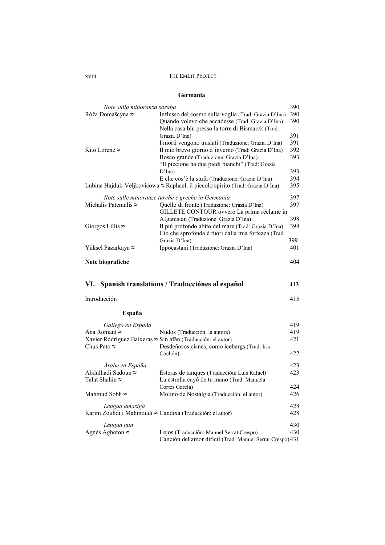#### **Germania**

| Note sulla minoranza soraba   |                                                                                     | 390 |
|-------------------------------|-------------------------------------------------------------------------------------|-----|
| Róža Domašcyna ≈              | Influsso del cosmo sulla voglia (Trad: Grazia D'Ina)                                | 390 |
|                               | Quando volevo che accadesse (Trad: Grazia D'Ina)                                    | 390 |
|                               | Nella casa blu presso la torre di Bismarck (Trad:                                   | 391 |
|                               | Grazia D'Ina)<br>I morti vengono traslati (Traduzione: Grazia D'Ina)                | 391 |
| Kito Lorenc ≈                 | Il mio brevo giorno d'inverno (Trad: Grazia D'Ina)                                  | 392 |
|                               | Bosco grande (Traduzione: Grazia D'Ina)                                             | 393 |
|                               | "Il piccione ha due piedi bianchi" (Trad: Grazia                                    |     |
|                               | D'Ina)                                                                              | 393 |
|                               | E che cos'è la stufa (Traduzione: Grazia D'Ina)                                     | 394 |
|                               | Lubina Hajduk-Veljkovićowa ≈ Raphael, il piccolo spirito (Trad: Grazia D'Ina)       | 395 |
|                               | Note sulle minoranze turche e greche in Germania                                    | 397 |
| Michalis Patentalis $\approx$ | Quello di fronte (Traduzione: Grazia D'Ina)                                         | 397 |
|                               | GILLETE CONTOUR ovvero La prima réclame in<br>Afganistan (Traduzione: Grazia D'Ina) | 398 |
| Giorgos Lillis $\approx$      | Il più profondo abito del mare (Trad: Grazia D'Ina)                                 | 398 |
|                               | Ciò che sprofonda è fuori dalla mia fortezza (Trad:                                 |     |
|                               | Grazia D'Ina)                                                                       | 399 |
| Yüksel Pazarkaya ≈            | Ippocastani (Traduzione: Grazia D'Ina)                                              | 401 |
| Note biografiche              |                                                                                     | 404 |
| VI.                           | Spanish translations / Traducciónes al español                                      | 413 |
| Introducción                  |                                                                                     | 415 |
|                               |                                                                                     |     |
| España                        |                                                                                     |     |
| Gallego en España             |                                                                                     | 419 |
| Ana Romaní ≈                  | Nudos (Traducción: la autora)                                                       | 419 |
|                               | Xavier Rodríguez Baixeras ≈ Sin afán (Traducción: el autor)                         | 421 |
| Chus Pato $\approx$           | Desdeñosos cisnes, como icebergs (Trad: Iris                                        |     |
|                               | Cochón)                                                                             | 422 |
| Árabe en España               |                                                                                     | 423 |
| Abdulhadi Sadoun ≈            | Esteras de tanques (Traducción: Luis Rafael)                                        | 423 |
| Talat Shahin ≈                | La estrella cayó de tu mano (Trad: Manuela                                          |     |
|                               | Cortés García)                                                                      | 424 |
| Mahmud Sobh ≈                 | Molino de Nostalgia (Traducción: el autor)                                          | 426 |
| Lengua amaziga                |                                                                                     |     |
|                               |                                                                                     | 428 |
|                               | Karim Zouhdi i Mahmoudi $\approx$ Candixa (Traducción: el autor)                    | 428 |

| Lengua gun              |                                                           | 430 |
|-------------------------|-----------------------------------------------------------|-----|
| Agnès Agboton $\approx$ | Lejos (Traducción: Manuel Serrat Crespo)                  | 430 |
|                         | Canción del amor difícil (Trad: Manuel Serrat Crespo) 431 |     |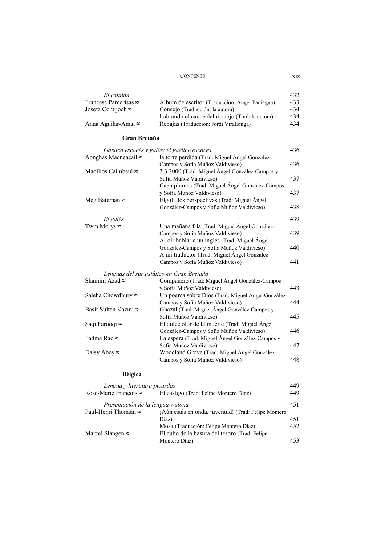| El catalán                    |                                                  | 432. |
|-------------------------------|--------------------------------------------------|------|
| Francesc Parcerisas $\approx$ | Álbum de escritor (Traducción: Ángel Paniagua)   | 433  |
| Josefa Contijoch $\approx$    | Consejo (Traducción: la autora)                  | 434  |
|                               | Labrando el cauce del río rojo (Trad: la autora) | 434  |
| Anna Aguilar-Amat $\approx$   | Rebajas (Traducción: Jordi Virallonga)           | 434  |

#### **Gran Bretaña**

| Gaélico escocés y galés: el gaélico escocés |                                                   | 436 |
|---------------------------------------------|---------------------------------------------------|-----|
| Aonghas Macneacail $\approx$                | la torre perdida (Trad: Miguel Ángel González-    |     |
|                                             | Campos y Sofía Muñoz Valdivieso)                  | 436 |
| Maoilios Caimbeul ≈                         | 3.3.2000 (Trad: Miguel Ángel González-Campos y    |     |
|                                             | Sofía Muñoz Valdivieso)                           | 437 |
|                                             | Caen plumas (Trad: Miguel Ángel González-Campos   |     |
|                                             | y Sofía Muñoz Valdivieso)                         | 437 |
| Meg Bateman $\approx$                       | Elgol: dos perspectivas (Trad: Miguel Ángel       |     |
|                                             | González-Campos y Sofía Muñoz Valdivieso)         | 438 |
| El galés                                    |                                                   | 439 |
| Twm Morys $\approx$                         | Una mañana fría (Trad: Miguel Ángel González-     |     |
|                                             | Campos y Sofía Muñoz Valdivieso)                  | 439 |
|                                             | Al oir hablar a un inglés (Trad: Miguel Ángel     |     |
|                                             | González-Campos y Sofía Muñoz Valdivieso)         | 440 |
|                                             | A mi traductor (Trad: Miguel Ángel González-      |     |
|                                             | Campos y Sofía Muñoz Valdivieso)                  | 441 |
| Lenguas del sur asiático en Gran Bretaña    |                                                   |     |
| Shamim Azad $\approx$                       | Compañero (Trad: Miguel Ángel González-Campos     |     |
|                                             | y Sofía Muñoz Valdivieso)                         | 443 |
| Saleha Chowdhury $\approx$                  | Un poema sobre Dios (Trad: Miguel Ángel González- |     |
|                                             | Campos y Sofía Muñoz Valdivieso)                  | 444 |
| Basir Sultan Kazmi ≈                        | Ghazal (Trad: Miguel Ángel González-Campos y      |     |
|                                             | Sofía Muñoz Valdivieso)                           | 445 |
| Saqi Farooqi ≈                              | El dulce olor de la muerte (Trad: Miguel Ángel    |     |
|                                             | González-Campos y Sofía Muñoz Valdivieso)         | 446 |
| Padma Rao ≈                                 | La espera (Trad: Miguel Ángel González-Campos y   |     |
|                                             | Sofía Muñoz Valdivieso)                           | 447 |
| Daisy Abey $\approx$                        | Woodland Grove (Trad: Miguel Angel González-      |     |
|                                             | Campos y Sofía Muñoz Valdivieso)                  | 448 |
|                                             |                                                   |     |

#### **Bélgica**

| Lengua y literatura picardas     |                                                     | 449  |
|----------------------------------|-----------------------------------------------------|------|
| Rose-Marie François $\approx$    | El castigo (Trad: Felipe Montero Díaz)              | 449  |
| Presentación de la lengua walona |                                                     | 451  |
| Paul-Henri Thomsin $\approx$     | ¡Aún estás en onda, juventud! (Trad: Felipe Montero |      |
|                                  | Díaz)                                               | 451  |
|                                  | Mosa (Traducción: Felipe Montero Díaz)              | 452  |
| Marcel Slangen $\approx$         | El cubo de la basura del tesoro (Trad: Felipe       |      |
|                                  | Montero Díaz)                                       | 453. |